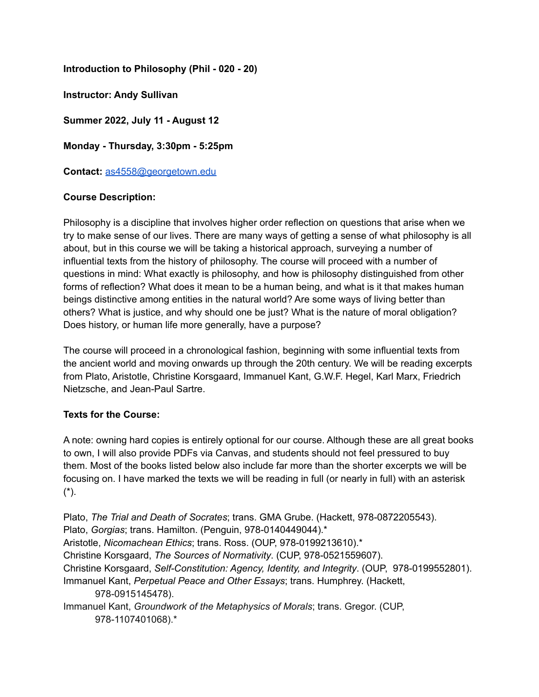**Introduction to Philosophy (Phil - 020 - 20)**

**Instructor: Andy Sullivan**

**Summer 2022, July 11 - August 12**

**Monday - Thursday, 3:30pm - 5:25pm**

**Contact:** [as4558@georgetown.edu](mailto:as4558@georgetown.edu)

### **Course Description:**

Philosophy is a discipline that involves higher order reflection on questions that arise when we try to make sense of our lives. There are many ways of getting a sense of what philosophy is all about, but in this course we will be taking a historical approach, surveying a number of influential texts from the history of philosophy. The course will proceed with a number of questions in mind: What exactly is philosophy, and how is philosophy distinguished from other forms of reflection? What does it mean to be a human being, and what is it that makes human beings distinctive among entities in the natural world? Are some ways of living better than others? What is justice, and why should one be just? What is the nature of moral obligation? Does history, or human life more generally, have a purpose?

The course will proceed in a chronological fashion, beginning with some influential texts from the ancient world and moving onwards up through the 20th century. We will be reading excerpts from Plato, Aristotle, Christine Korsgaard, Immanuel Kant, G.W.F. Hegel, Karl Marx, Friedrich Nietzsche, and Jean-Paul Sartre.

### **Texts for the Course:**

A note: owning hard copies is entirely optional for our course. Although these are all great books to own, I will also provide PDFs via Canvas, and students should not feel pressured to buy them. Most of the books listed below also include far more than the shorter excerpts we will be focusing on. I have marked the texts we will be reading in full (or nearly in full) with an asterisk  $(*)$ .

Plato, *The Trial and Death of Socrates*; trans. GMA Grube. (Hackett, 978-0872205543). Plato, *Gorgias*; trans. Hamilton. (Penguin, 978-0140449044).\* Aristotle, *Nicomachean Ethics*; trans. Ross. (OUP, 978-0199213610).\* Christine Korsgaard, *The Sources of Normativity*. (CUP, 978-0521559607). Christine Korsgaard, *Self-Constitution: Agency, Identity, and Integrity*. (OUP, 978-0199552801). Immanuel Kant, *Perpetual Peace and Other Essays*; trans. Humphrey. (Hackett, 978-0915145478). Immanuel Kant, *Groundwork of the Metaphysics of Morals*; trans. Gregor. (CUP,

978-1107401068).\*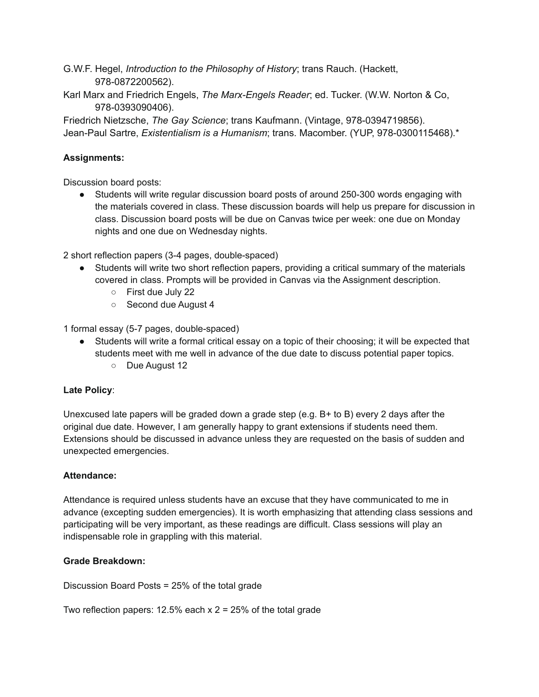G.W.F. Hegel, *Introduction to the Philosophy of History*; trans Rauch. (Hackett, 978-0872200562).

Karl Marx and Friedrich Engels, *The Marx-Engels Reader*; ed. Tucker. (W.W. Norton & Co, 978-0393090406).

Friedrich Nietzsche, *The Gay Science*; trans Kaufmann. (Vintage, 978-0394719856). Jean-Paul Sartre, *Existentialism is a Humanism*; trans. Macomber. (YUP, 978-0300115468).\*

# **Assignments:**

Discussion board posts:

● Students will write regular discussion board posts of around 250-300 words engaging with the materials covered in class. These discussion boards will help us prepare for discussion in class. Discussion board posts will be due on Canvas twice per week: one due on Monday nights and one due on Wednesday nights.

2 short reflection papers (3-4 pages, double-spaced)

- Students will write two short reflection papers, providing a critical summary of the materials covered in class. Prompts will be provided in Canvas via the Assignment description.
	- First due July 22
	- Second due August 4

1 formal essay (5-7 pages, double-spaced)

- Students will write a formal critical essay on a topic of their choosing; it will be expected that students meet with me well in advance of the due date to discuss potential paper topics.
	- Due August 12

## **Late Policy**:

Unexcused late papers will be graded down a grade step (e.g. B+ to B) every 2 days after the original due date. However, I am generally happy to grant extensions if students need them. Extensions should be discussed in advance unless they are requested on the basis of sudden and unexpected emergencies.

### **Attendance:**

Attendance is required unless students have an excuse that they have communicated to me in advance (excepting sudden emergencies). It is worth emphasizing that attending class sessions and participating will be very important, as these readings are difficult. Class sessions will play an indispensable role in grappling with this material.

### **Grade Breakdown:**

Discussion Board Posts = 25% of the total grade

Two reflection papers: 12.5% each  $x$  2 = 25% of the total grade